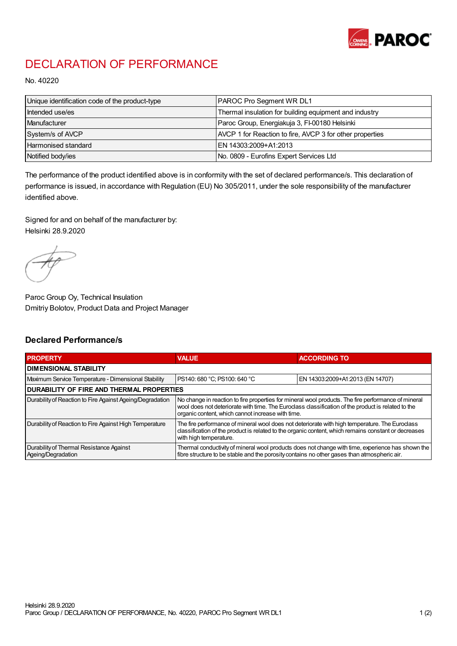

## DECLARATION OF PERFORMANCE

No. 40220

| Unique identification code of the product-type | <b>PAROC Pro Segment WR DL1</b>                          |
|------------------------------------------------|----------------------------------------------------------|
| Intended use/es                                | Thermal insulation for building equipment and industry   |
| Manufacturer                                   | Paroc Group, Energiakuja 3, FI-00180 Helsinki            |
| System/s of AVCP                               | AVCP 1 for Reaction to fire, AVCP 3 for other properties |
| Harmonised standard                            | IEN 14303:2009+A1:2013                                   |
| Notified body/ies                              | No. 0809 - Eurofins Expert Services Ltd                  |

The performance of the product identified above is in conformity with the set of declared performance/s. This declaration of performance is issued, in accordance with Regulation (EU) No 305/2011, under the sole responsibility of the manufacturer identified above.

Signed for and on behalf of the manufacturer by: Helsinki 28.9.2020

Paroc Group Oy, Technical Insulation Dmitriy Bolotov, Product Data and Project Manager

## Declared Performance/s

| <b>PROPERTY</b>                                                | <b>VALUE</b>                                                                                                                                                                                                                                                   | <b>ACCORDING TO</b>              |  |  |
|----------------------------------------------------------------|----------------------------------------------------------------------------------------------------------------------------------------------------------------------------------------------------------------------------------------------------------------|----------------------------------|--|--|
| <b>DIMENSIONAL STABILITY</b>                                   |                                                                                                                                                                                                                                                                |                                  |  |  |
| Maximum Service Temperature - Dimensional Stability            | PS140: 680 °C; PS100: 640 °C                                                                                                                                                                                                                                   | EN 14303:2009+A1:2013 (EN 14707) |  |  |
| <b>DURABILITY OF FIRE AND THERMAL PROPERTIES</b>               |                                                                                                                                                                                                                                                                |                                  |  |  |
| Durability of Reaction to Fire Against Ageing/Degradation      | No change in reaction to fire properties for mineral wool products. The fire performance of mineral<br>wool does not deteriorate with time. The Euroclass classification of the product is related to the<br>organic content, which cannot increase with time. |                                  |  |  |
| Durability of Reaction to Fire Against High Temperature        | The fire performance of mineral wool does not deteriorate with high temperature. The Euroclass<br>classification of the product is related to the organic content, which remains constant or decreases<br>with high temperature.                               |                                  |  |  |
| Durability of Thermal Resistance Against<br>Ageing/Degradation | Thermal conductivity of mineral wool products does not change with time, experience has shown the<br>fibre structure to be stable and the porosity contains no other gases than atmospheric air.                                                               |                                  |  |  |